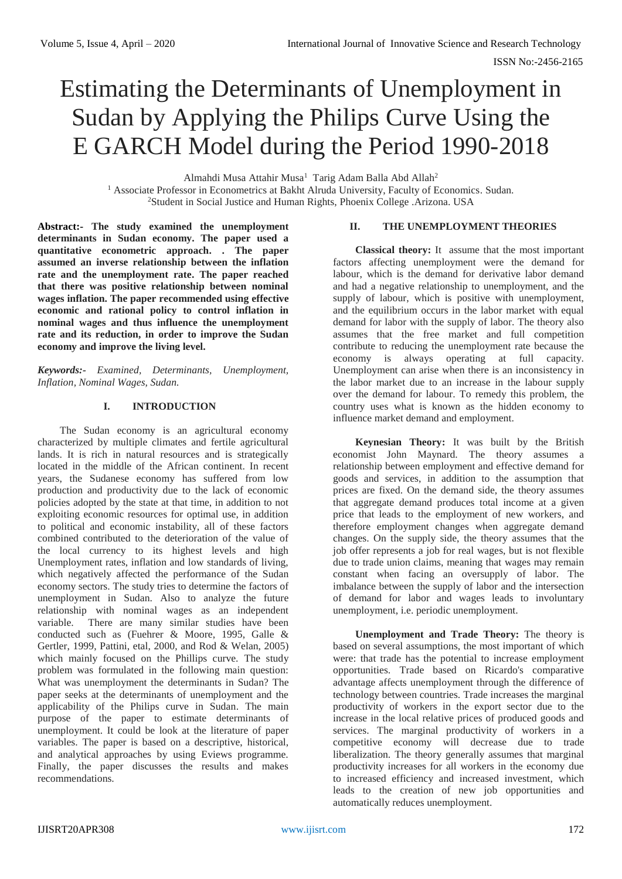# Estimating the Determinants of Unemployment in Sudan by Applying the Philips Curve Using the E GARCH Model during the Period 1990-2018

Almahdi Musa Attahir Musa<sup>1</sup> Tarig Adam Balla Abd Allah<sup>2</sup>

<sup>1</sup> Associate Professor in Econometrics at Bakht Alruda University, Faculty of Economics. Sudan. <sup>2</sup>Student in Social Justice and Human Rights, Phoenix College .Arizona. USA

**Abstract:- The study examined the unemployment determinants in Sudan economy. The paper used a quantitative econometric approach. . The paper assumed an inverse relationship between the inflation rate and the unemployment rate. The paper reached that there was positive relationship between nominal wages inflation. The paper recommended using effective economic and rational policy to control inflation in nominal wages and thus influence the unemployment rate and its reduction, in order to improve the Sudan economy and improve the living level.**

*Keywords:- Examined, Determinants, Unemployment, Inflation, Nominal Wages, Sudan.*

## **I. INTRODUCTION**

The Sudan economy is an agricultural economy characterized by multiple climates and fertile agricultural lands. It is rich in natural resources and is strategically located in the middle of the African continent. In recent years, the Sudanese economy has suffered from low production and productivity due to the lack of economic policies adopted by the state at that time, in addition to not exploiting economic resources for optimal use, in addition to political and economic instability, all of these factors combined contributed to the deterioration of the value of the local currency to its highest levels and high Unemployment rates, inflation and low standards of living, which negatively affected the performance of the Sudan economy sectors. The study tries to determine the factors of unemployment in Sudan. Also to analyze the future relationship with nominal wages as an independent variable. There are many similar studies have been conducted such as (Fuehrer & Moore, 1995, Galle & Gertler, 1999, Pattini, etal, 2000, and Rod & Welan, 2005) which mainly focused on the Phillips curve. The study problem was formulated in the following main question: What was unemployment the determinants in Sudan? The paper seeks at the determinants of unemployment and the applicability of the Philips curve in Sudan. The main purpose of the paper to estimate determinants of unemployment. It could be look at the literature of paper variables. The paper is based on a descriptive, historical, and analytical approaches by using Eviews programme. Finally, the paper discusses the results and makes recommendations.

# **II. THE UNEMPLOYMENT THEORIES**

**Classical theory:** It assume that the most important factors affecting unemployment were the demand for labour, which is the demand for derivative labor demand and had a negative relationship to unemployment, and the supply of labour, which is positive with unemployment, and the equilibrium occurs in the labor market with equal demand for labor with the supply of labor. The theory also assumes that the free market and full competition contribute to reducing the unemployment rate because the economy is always operating at full capacity. Unemployment can arise when there is an inconsistency in the labor market due to an increase in the labour supply over the demand for labour. To remedy this problem, the country uses what is known as the hidden economy to influence market demand and employment.

**Keynesian Theory:** It was built by the British economist John Maynard. The theory assumes a relationship between employment and effective demand for goods and services, in addition to the assumption that prices are fixed. On the demand side, the theory assumes that aggregate demand produces total income at a given price that leads to the employment of new workers, and therefore employment changes when aggregate demand changes. On the supply side, the theory assumes that the job offer represents a job for real wages, but is not flexible due to trade union claims, meaning that wages may remain constant when facing an oversupply of labor. The imbalance between the supply of labor and the intersection of demand for labor and wages leads to involuntary unemployment, i.e. periodic unemployment.

**Unemployment and Trade Theory:** The theory is based on several assumptions, the most important of which were: that trade has the potential to increase employment opportunities. Trade based on Ricardo's comparative advantage affects unemployment through the difference of technology between countries. Trade increases the marginal productivity of workers in the export sector due to the increase in the local relative prices of produced goods and services. The marginal productivity of workers in a competitive economy will decrease due to trade liberalization. The theory generally assumes that marginal productivity increases for all workers in the economy due to increased efficiency and increased investment, which leads to the creation of new job opportunities and automatically reduces unemployment.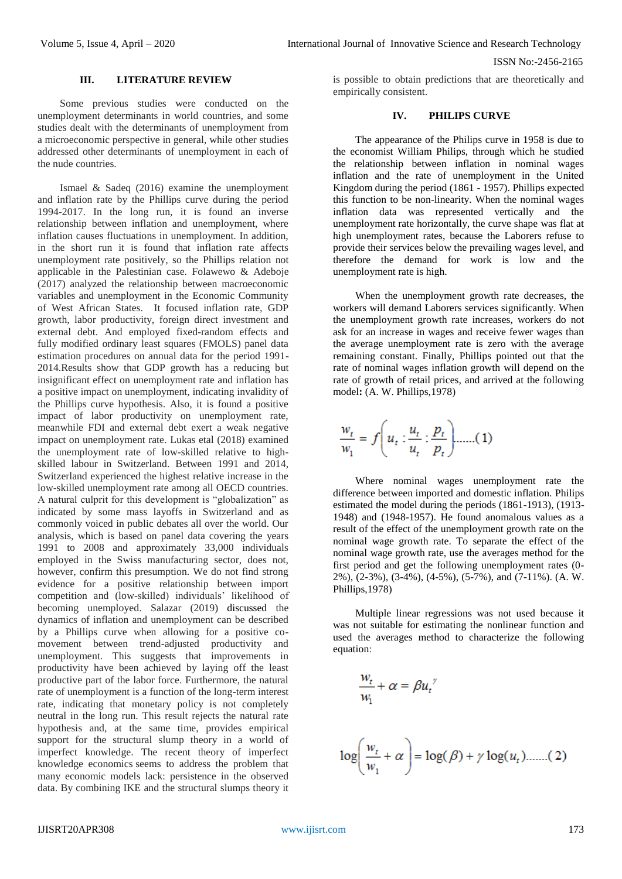#### **III. LITERATURE REVIEW**

Some previous studies were conducted on the unemployment determinants in world countries, and some studies dealt with the determinants of unemployment from a microeconomic perspective in general, while other studies addressed other determinants of unemployment in each of the nude countries.

Ismael & Sadeq (2016) examine the unemployment and inflation rate by the Phillips curve during the period 1994-2017. In the long run, it is found an inverse relationship between inflation and unemployment, where inflation causes fluctuations in unemployment. In addition, in the short run it is found that inflation rate affects unemployment rate positively, so the Phillips relation not applicable in the Palestinian case. Folawewo & Adeboje (2017) analyzed the relationship between macroeconomic variables and unemployment in the Economic Community of West African States. It focused inflation rate, GDP growth, labor productivity, foreign direct investment and external debt. And employed fixed-random effects and fully modified ordinary least squares (FMOLS) panel data estimation procedures on annual data for the period 1991- 2014.Results show that GDP growth has a reducing but insignificant effect on unemployment rate and inflation has a positive impact on unemployment, indicating invalidity of the Phillips curve hypothesis. Also, it is found a positive impact of labor productivity on unemployment rate, meanwhile FDI and external debt exert a weak negative impact on unemployment rate. Lukas etal (2018) examined the unemployment rate of low-skilled relative to highskilled labour in Switzerland. Between 1991 and 2014, Switzerland experienced the highest relative increase in the low-skilled unemployment rate among all OECD countries. A natural culprit for this development is "globalization" as indicated by some mass layoffs in Switzerland and as commonly voiced in public debates all over the world. Our analysis, which is based on panel data covering the years 1991 to 2008 and approximately 33,000 individuals employed in the Swiss manufacturing sector, does not, however, confirm this presumption. We do not find strong evidence for a positive relationship between import competition and (low-skilled) individuals' likelihood of becoming unemployed. Salazar (2019) discussed the dynamics of inflation and unemployment can be described by a Phillips curve when allowing for a positive comovement between trend-adjusted productivity and unemployment. This suggests that improvements in productivity have been achieved by laying off the least productive part of the labor force. Furthermore, the natural rate of unemployment is a function of the long-term interest rate, indicating that monetary policy is not completely neutral in the long run. This result rejects the natural rate hypothesis and, at the same time, provides empirical support for the structural slump theory in a world of imperfect knowledge. The recent theory of imperfect knowledge economics seems to address the problem that many economic models lack: persistence in the observed data. By combining IKE and the structural slumps theory it is possible to obtain predictions that are theoretically and empirically consistent.

# **IV. PHILIPS CURVE**

The appearance of the Philips curve in 1958 is due to the economist William Philips, through which he studied the relationship between inflation in nominal wages inflation and the rate of unemployment in the United Kingdom during the period (1861 - 1957). Phillips expected this function to be non-linearity. When the nominal wages inflation data was represented vertically and the unemployment rate horizontally, the curve shape was flat at high unemployment rates, because the Laborers refuse to provide their services below the prevailing wages level, and therefore the demand for work is low and the unemployment rate is high.

When the unemployment growth rate decreases, the workers will demand Laborers services significantly. When the unemployment growth rate increases, workers do not ask for an increase in wages and receive fewer wages than the average unemployment rate is zero with the average remaining constant. Finally, Phillips pointed out that the rate of nominal wages inflation growth will depend on the rate of growth of retail prices, and arrived at the following model**:** (A. W. Phillips,1978)

$$
\frac{w_t}{w_1} = f\left(u_t : \frac{u_t}{u_t} : \frac{p_t}{p_t}\right) \quad \dots \quad (1)
$$

Where nominal wages unemployment rate the difference between imported and domestic inflation. Philips estimated the model during the periods (1861-1913), (1913- 1948) and (1948-1957). He found anomalous values as a result of the effect of the unemployment growth rate on the nominal wage growth rate. To separate the effect of the nominal wage growth rate, use the averages method for the first period and get the following unemployment rates (0- 2%), (2-3%), (3-4%), (4-5%), (5-7%), and (7-11%). (A. W. Phillips,1978)

Multiple linear regressions was not used because it was not suitable for estimating the nonlinear function and used the averages method to characterize the following equation:

$$
\frac{w_t}{w_1} + \alpha = \beta u_t^{\prime\prime}
$$

$$
\log\left(\frac{w_t}{w_1} + \alpha\right) = \log(\beta) + \gamma \log(u_t) \dots \dots (2)
$$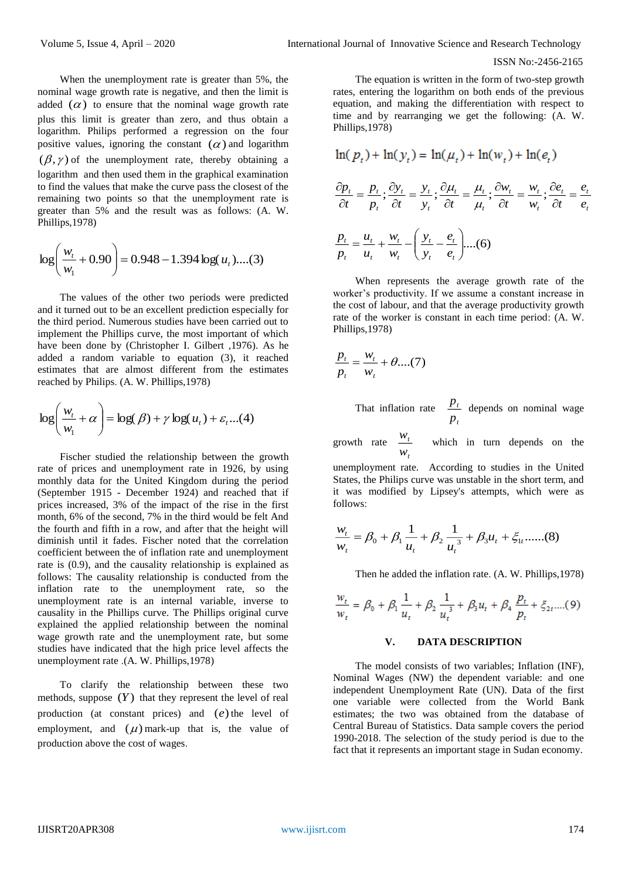When the unemployment rate is greater than 5%, the nominal wage growth rate is negative, and then the limit is added  $(\alpha)$  to ensure that the nominal wage growth rate plus this limit is greater than zero, and thus obtain a logarithm. Philips performed a regression on the four positive values, ignoring the constant  $(\alpha)$  and logarithm  $(\beta, \gamma)$  of the unemployment rate, thereby obtaining a logarithm and then used them in the graphical examination to find the values that make the curve pass the closest of the remaining two points so that the unemployment rate is greater than 5% and the result was as follows: (A. W. Phillips,1978)

$$
\log\left(\frac{w_t}{w_1} + 0.90\right) = 0.948 - 1.394 \log(u_t)....(3)
$$

The values of the other two periods were predicted and it turned out to be an excellent prediction especially for the third period. Numerous studies have been carried out to implement the Phillips curve, the most important of which have been done by (Christopher I. Gilbert ,1976). As he added a random variable to equation (3), it reached estimates that are almost different from the estimates reached by Philips. (A. W. Phillips,1978)

$$
\log\left(\frac{w_t}{w_1} + \alpha\right) = \log(\beta) + \gamma \log(u_t) + \varepsilon_t \dots (4)
$$

Fischer studied the relationship between the growth rate of prices and unemployment rate in 1926, by using monthly data for the United Kingdom during the period (September 1915 - December 1924) and reached that if prices increased, 3% of the impact of the rise in the first month, 6% of the second, 7% in the third would be felt And the fourth and fifth in a row, and after that the height will diminish until it fades. Fischer noted that the correlation coefficient between the of inflation rate and unemployment rate is (0.9), and the causality relationship is explained as follows: The causality relationship is conducted from the inflation rate to the unemployment rate, so the unemployment rate is an internal variable, inverse to causality in the Phillips curve. The Phillips original curve explained the applied relationship between the nominal wage growth rate and the unemployment rate, but some studies have indicated that the high price level affects the unemployment rate .(A. W. Phillips,1978)

To clarify the relationship between these two methods, suppose  $(Y)$  that they represent the level of real production (at constant prices) and (*e*) the level of employment, and  $(\mu)$  mark-up that is, the value of production above the cost of wages.

The equation is written in the form of two-step growth rates, entering the logarithm on both ends of the previous equation, and making the differentiation with respect to time and by rearranging we get the following: (A. W. Phillips,1978)

$$
\ln(p_t) + \ln(y_t) = \ln(\mu_t) + \ln(w_t) + \ln(e_t)
$$
  

$$
\frac{\partial p_t}{\partial t} = \frac{p_t}{p_t}; \frac{\partial y_t}{\partial t} = \frac{y_t}{y_t}; \frac{\partial \mu_t}{\partial t} = \frac{\mu_t}{\mu_t}; \frac{\partial w_t}{\partial t} = \frac{w_t}{w_t}; \frac{\partial e_t}{\partial t} = \frac{e_t}{e_t}
$$
  

$$
\frac{p_t}{p_t} = \frac{u_t}{u_t} + \frac{w_t}{w_t} - \left(\frac{y_t}{y_t} - \frac{e_t}{e_t}\right) \dots (6)
$$

When represents the average growth rate of the worker's productivity. If we assume a constant increase in the cost of labour, and that the average productivity growth rate of the worker is constant in each time period: (A. W. Phillips,1978)

$$
\frac{p_t}{p_t} = \frac{w_t}{w_t} + \theta \dots (7)
$$

That inflation rate *p*  $p_t$  depends on nominal wage

growth rate *t t w*  $w_t$  which in turn depends on the

unemployment rate. According to studies in the United States, the Philips curve was unstable in the short term, and it was modified by Lipsey's attempts, which were as follows:

$$
\frac{w_t}{w_t} = \beta_0 + \beta_1 \frac{1}{u_t} + \beta_2 \frac{1}{u_t^3} + \beta_3 u_t + \xi_1, \dots \tag{8}
$$

Then he added the inflation rate. (A. W. Phillips,1978)

$$
\frac{w_t}{w_t} = \beta_0 + \beta_1 \frac{1}{u_t} + \beta_2 \frac{1}{u_t^3} + \beta_3 u_t + \beta_4 \frac{p_t}{p_t} + \xi_2, \dots (9)
$$

#### **V. DATA DESCRIPTION**

The model consists of two variables; Inflation (INF), Nominal Wages (NW) the dependent variable: and one independent Unemployment Rate (UN). Data of the first one variable were collected from the World Bank estimates; the two was obtained from the database of Central Bureau of Statistics. Data sample covers the period 1990-2018. The selection of the study period is due to the fact that it represents an important stage in Sudan economy.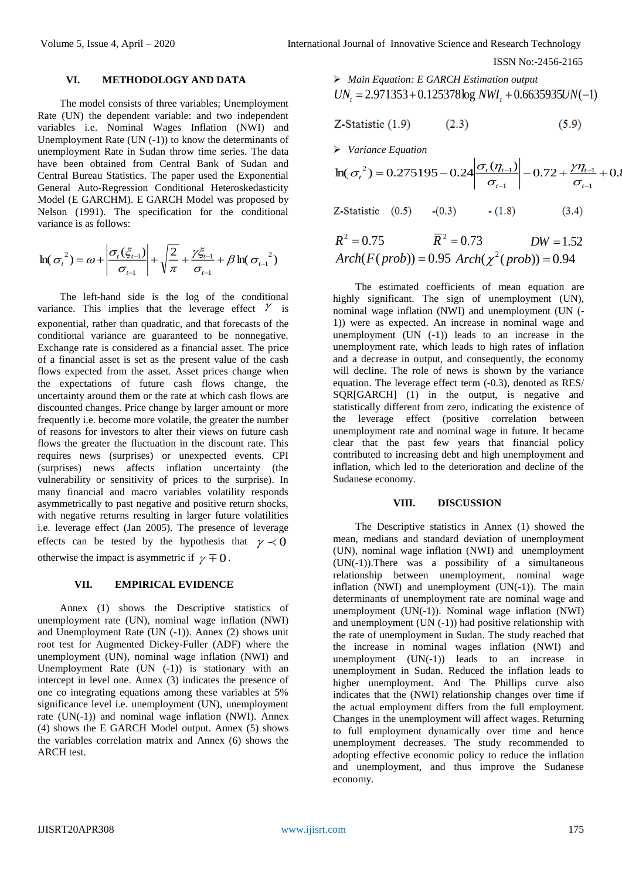#### **VI. METHODOLOGY AND DATA**

The model consists of three variables; Unemployment Rate (UN) the dependent variable: and two independent variables i.e. Nominal Wages Inflation (NWI) and Unemployment Rate  $(UN (-1))$  to know the determinants of unemployment Rate in Sudan throw time series. The data have been obtained from Central Bank of Sudan and Central Bureau Statistics. The paper used the Exponential General Auto-Regression Conditional Heteroskedasticity Model (E GARCHM). E GARCH Model was proposed by Nelson (1991). The specification for the conditional variance is as follows:

$$
\ln(\sigma_{t}^{2}) = \omega + \left| \frac{\sigma_{t}(\xi_{t-1})}{\sigma_{t-1}} \right| + \sqrt{\frac{2}{\pi}} + \frac{\gamma \xi_{t-1}}{\sigma_{t-1}} + \beta \ln(\sigma_{t-1}^{2})
$$

The left-hand side is the log of the conditional variance. This implies that the leverage effect  $\gamma$  is exponential, rather than quadratic, and that forecasts of the conditional variance are guaranteed to be nonnegative. Exchange rate is considered as a financial asset. The price of a financial asset is set as the present value of the cash flows expected from the asset. Asset prices change when the expectations of future cash flows change, the uncertainty around them or the rate at which cash flows are discounted changes. Price change by larger amount or more frequently i.e. become more volatile, the greater the number of reasons for investors to alter their views on future cash flows the greater the fluctuation in the discount rate. This requires news (surprises) or unexpected events. CPI (surprises) news affects inflation uncertainty (the vulnerability or sensitivity of prices to the surprise). In many financial and macro variables volatility responds asymmetrically to past negative and positive return shocks, with negative returns resulting in larger future volatilities i.e. leverage effect (Jan 2005). The presence of leverage effects can be tested by the hypothesis that  $\gamma \prec 0$ otherwise the impact is asymmetric if  $\gamma \mp 0$ .

#### **VII. EMPIRICAL EVIDENCE**

Annex (1) shows the Descriptive statistics of unemployment rate (UN), nominal wage inflation (NWI) and Unemployment Rate (UN (-1)). Annex (2) shows unit root test for Augmented Dickey-Fuller (ADF) where the unemployment (UN), nominal wage inflation (NWI) and Unemployment Rate  $(UN (-1))$  is stationary with an intercept in level one. Annex (3) indicates the presence of one co integrating equations among these variables at 5% significance level i.e. unemployment (UN), unemployment rate (UN(-1)) and nominal wage inflation (NWI). Annex (4) shows the E GARCH Model output. Annex (5) shows the variables correlation matrix and Annex (6) shows the ARCH test.

 *Main Equation: E GARCH Estimation output*  $UN_t = 2.971353 + 0.125378 \log NWI_t + 0.6635935 UN(-1)$ 

$$
Z\text{-Statistic (1.9)}\tag{5.9}
$$

*Variance Equation*

$$
\ln(\sigma_t^2) = 0.275195 - 0.24 \left| \frac{\sigma_t(\eta_{t-1})}{\sigma_{t-1}} \right| - 0.72 + \frac{\gamma \eta_{t-1}}{\sigma_{t-1}} + 0.8
$$

 $Z-Statistic$   $(0.5)$  $-(0.3)$  $-(1.8)$  $(3.4)$ 

$$
R2 = 0.75
$$
  
  $\overline{R}2 = 0.73$  DW = 1.52  
Arch(F(*prob*)) = 0.95 Arch( $\chi2$ (*prob*)) = 0.94

The estimated coefficients of mean equation are highly significant. The sign of unemployment (UN), nominal wage inflation (NWI) and unemployment (UN (- 1)) were as expected. An increase in nominal wage and unemployment (UN (-1)) leads to an increase in the unemployment rate, which leads to high rates of inflation and a decrease in output, and consequently, the economy will decline. The role of news is shown by the variance equation. The leverage effect term (-0.3), denoted as RES/ SQR[GARCH] (1) in the output, is negative and statistically different from zero, indicating the existence of the leverage effect (positive correlation between unemployment rate and nominal wage in future. It became clear that the past few years that financial policy contributed to increasing debt and high unemployment and inflation, which led to the deterioration and decline of the Sudanese economy.

#### **VIII. DISCUSSION**

The Descriptive statistics in Annex (1) showed the mean, medians and standard deviation of unemployment (UN), nominal wage inflation (NWI) and unemployment (UN(-1)).There was a possibility of a simultaneous relationship between unemployment, nominal wage inflation (NWI) and unemployment (UN(-1)). The main determinants of unemployment rate are nominal wage and unemployment  $(UN(-1))$ . Nominal wage inflation  $(NWI)$ and unemployment  $(UN (-1))$  had positive relationship with the rate of unemployment in Sudan. The study reached that the increase in nominal wages inflation (NWI) and unemployment  $(UN(-1))$  leads to an increase in unemployment in Sudan. Reduced the inflation leads to higher unemployment. And The Phillips curve also indicates that the (NWI) relationship changes over time if the actual employment differs from the full employment. Changes in the unemployment will affect wages. Returning to full employment dynamically over time and hence unemployment decreases. The study recommended to adopting effective economic policy to reduce the inflation and unemployment, and thus improve the Sudanese economy.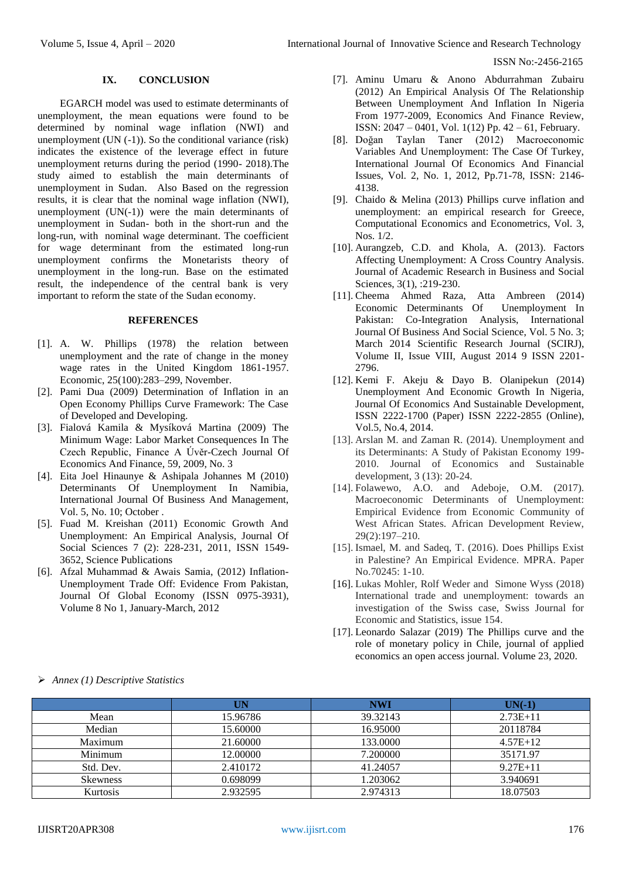# **IX. CONCLUSION**

EGARCH model was used to estimate determinants of unemployment, the mean equations were found to be determined by nominal wage inflation (NWI) and unemployment (UN (-1)). So the conditional variance (risk) indicates the existence of the leverage effect in future unemployment returns during the period (1990- 2018).The study aimed to establish the main determinants of unemployment in Sudan. Also Based on the regression results, it is clear that the nominal wage inflation (NWI), unemployment  $(UN(-1))$  were the main determinants of unemployment in Sudan- both in the short-run and the long-run, with nominal wage determinant. The coefficient for wage determinant from the estimated long-run unemployment confirms the Monetarists theory of unemployment in the long-run. Base on the estimated result, the independence of the central bank is very important to reform the state of the Sudan economy.

## **REFERENCES**

- [1]. A. W. Phillips (1978) the relation between unemployment and the rate of change in the money wage rates in the United Kingdom 1861-1957. Economic, 25(100):283–299, November.
- [2]. Pami Dua (2009) Determination of Inflation in an Open Economy Phillips Curve Framework: The Case of Developed and Developing.
- [3]. Fialová Kamila & Mysíková Martina (2009) The Minimum Wage: Labor Market Consequences In The Czech Republic, Finance A Úvěr-Czech Journal Of Economics And Finance, 59, 2009, No. 3
- [4]. Eita Joel Hinaunye & Ashipala Johannes M (2010) Determinants Of Unemployment In Namibia, International Journal Of Business And Management, Vol. 5, No. 10; October .
- [5]. Fuad M. Kreishan (2011) Economic Growth And Unemployment: An Empirical Analysis, Journal Of Social Sciences 7 (2): 228-231, 2011, ISSN 1549- 3652, Science Publications
- [6]. Afzal Muhammad & Awais Samia, (2012) Inflation-Unemployment Trade Off: Evidence From Pakistan, Journal Of Global Economy (ISSN 0975-3931), Volume 8 No 1, January-March, 2012
- [7]. Aminu Umaru & Anono Abdurrahman Zubairu (2012) An Empirical Analysis Of The Relationship Between Unemployment And Inflation In Nigeria From 1977-2009, Economics And Finance Review, ISSN: 2047 – 0401, Vol. 1(12) Pp. 42 – 61, February.
- [8]. Doğan Taylan Taner (2012) Macroeconomic Variables And Unemployment: The Case Of Turkey, International Journal Of Economics And Financial Issues, Vol. 2, No. 1, 2012, Pp.71-78, ISSN: 2146- 4138.
- [9]. Chaido & Melina (2013) Phillips curve inflation and unemployment: an empirical research for Greece, Computational Economics and Econometrics, Vol. 3, Nos. 1/2.
- [10]. Aurangzeb, C.D. and Khola, A. (2013). Factors Affecting Unemployment: A Cross Country Analysis. Journal of Academic Research in Business and Social Sciences, 3(1), :219-230.
- [11]. Cheema Ahmed Raza, Atta Ambreen (2014) Economic Determinants Of Unemployment In Pakistan: Co-Integration Analysis, International Journal Of Business And Social Science, Vol. 5 No. 3; March 2014 Scientific Research Journal (SCIRJ), Volume II, Issue VIII, August 2014 9 ISSN 2201- 2796.
- [12]. Kemi F. Akeju & Dayo B. Olanipekun (2014) Unemployment And Economic Growth In Nigeria, Journal Of Economics And Sustainable Development, ISSN 2222-1700 (Paper) ISSN 2222-2855 (Online), Vol.5, No.4, 2014.
- [13]. Arslan M. and Zaman R. (2014). Unemployment and its Determinants: A Study of Pakistan Economy 199- 2010. Journal of Economics and Sustainable development, 3 (13): 20-24.
- [14]. Folawewo, A.O. and Adeboje, O.M. (2017). Macroeconomic Determinants of Unemployment: Empirical Evidence from Economic Community of West African States. African Development Review, 29(2):197–210.
- [15]. Ismael, M. and Sadeq, T. (2016). Does Phillips Exist in Palestine? An Empirical Evidence. MPRA. Paper No.70245: 1-10.
- [16]. Lukas Mohler, Rolf Weder and Simone Wyss (2018) International trade and unemployment: towards an investigation of the Swiss case, Swiss Journal for Economic and Statistics, issue 154.
- [17]. Leonardo Salazar (2019) The Phillips curve and the role of monetary policy in Chile, journal of applied economics an open access journal. Volume 23, 2020.

|                 | UN       | <b>NWI</b> | $UN(-1)$     |
|-----------------|----------|------------|--------------|
| Mean            | 15.96786 | 39.32143   | $2.73E+11$   |
| Median          | 15.60000 | 16.95000   | 20118784     |
| Maximum         | 21.60000 | 133,0000   | $4.57E+12$   |
| Minimum         | 12.00000 | 7.200000   | 35171.97     |
| Std. Dev.       | 2.410172 | 41.24057   | $9.27E + 11$ |
| <b>Skewness</b> | 0.698099 | 1.203062   | 3.940691     |
| Kurtosis        | 2.932595 | 2.974313   | 18.07503     |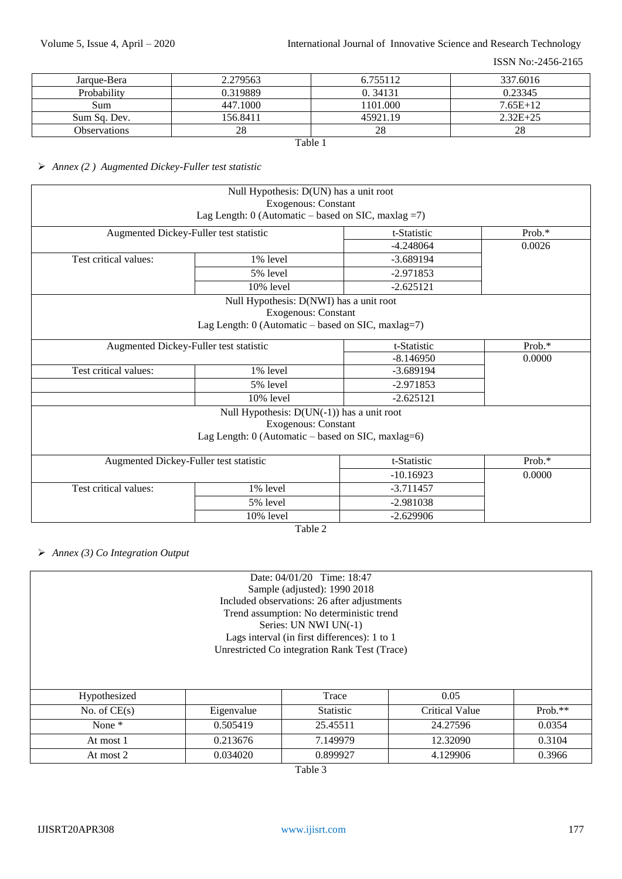| Jarque-Bera         | 2.279563 | 6.755112 | 337.6016   |  |
|---------------------|----------|----------|------------|--|
| Probability         | 0.319889 | 0.34131  | 0.23345    |  |
| Sum-                | 447.1000 | 1101.000 | $7.65E+12$ |  |
| Sum Sq. Dev.        | 156.8411 | 45921.19 | $2.32E+25$ |  |
| <b>Observations</b> | 28       | 28       | 28         |  |
| Table 1             |          |          |            |  |

# *Annex (2 ) Augmented Dickey-Fuller test statistic*

|                                                            | Null Hypothesis: D(UN) has a unit root<br><b>Exogenous: Constant</b> |             |        |  |
|------------------------------------------------------------|----------------------------------------------------------------------|-------------|--------|--|
|                                                            | Lag Length: $0$ (Automatic – based on SIC, maxlag = 7)               |             |        |  |
| Augmented Dickey-Fuller test statistic                     |                                                                      | t-Statistic | Prob.* |  |
|                                                            |                                                                      | $-4.248064$ | 0.0026 |  |
| Test critical values:                                      | 1% level                                                             | $-3.689194$ |        |  |
|                                                            | 5% level                                                             | $-2.971853$ |        |  |
|                                                            | 10% level                                                            | $-2.625121$ |        |  |
|                                                            | Null Hypothesis: D(NWI) has a unit root                              |             |        |  |
|                                                            | <b>Exogenous: Constant</b>                                           |             |        |  |
|                                                            | Lag Length: $0$ (Automatic – based on SIC, maxlag=7)                 |             |        |  |
| Augmented Dickey-Fuller test statistic                     |                                                                      | t-Statistic | Prob.* |  |
|                                                            |                                                                      | $-8.146950$ | 0.0000 |  |
| Test critical values:<br>1% level<br>5% level<br>10% level |                                                                      | $-3.689194$ |        |  |
|                                                            |                                                                      | $-2.971853$ |        |  |
|                                                            |                                                                      | $-2.625121$ |        |  |
|                                                            | Null Hypothesis: $D(UN(-1))$ has a unit root                         |             |        |  |
|                                                            | <b>Exogenous: Constant</b>                                           |             |        |  |
|                                                            | Lag Length: $0$ (Automatic – based on SIC, maxlag=6)                 |             |        |  |
| Augmented Dickey-Fuller test statistic                     |                                                                      | t-Statistic | Prob.* |  |
|                                                            |                                                                      | $-10.16923$ | 0.0000 |  |
| Test critical values:                                      | 1% level                                                             | $-3.711457$ |        |  |
|                                                            | 5% level                                                             | $-2.981038$ |        |  |
| 10% level                                                  |                                                                      | $-2.629906$ |        |  |

Table 2

*Annex (3) Co Integration Output* 

| Date: 04/01/20 Time: 18:47 |                                                                      |                                               |          |        |  |  |  |
|----------------------------|----------------------------------------------------------------------|-----------------------------------------------|----------|--------|--|--|--|
|                            | Sample (adjusted): 1990 2018                                         |                                               |          |        |  |  |  |
|                            |                                                                      | Included observations: 26 after adjustments   |          |        |  |  |  |
|                            |                                                                      | Trend assumption: No deterministic trend      |          |        |  |  |  |
|                            |                                                                      | Series: UN NWI UN(-1)                         |          |        |  |  |  |
|                            |                                                                      | Lags interval (in first differences): 1 to 1  |          |        |  |  |  |
|                            |                                                                      | Unrestricted Co integration Rank Test (Trace) |          |        |  |  |  |
|                            |                                                                      |                                               |          |        |  |  |  |
|                            |                                                                      |                                               |          |        |  |  |  |
|                            |                                                                      |                                               |          |        |  |  |  |
|                            | Hypothesized<br>0.05<br>Trace                                        |                                               |          |        |  |  |  |
| No. of $CE(s)$             | $Prob.**$<br>Eigenvalue<br><b>Critical Value</b><br><b>Statistic</b> |                                               |          |        |  |  |  |
| None $*$                   | 0.505419<br>25.45511<br>24.27596<br>0.0354                           |                                               |          |        |  |  |  |
| At most 1                  | 0.213676                                                             | 7.149979                                      | 12.32090 | 0.3104 |  |  |  |
| At most 2                  | 0.034020<br>0.899927<br>4.129906<br>0.3966                           |                                               |          |        |  |  |  |

Table 3